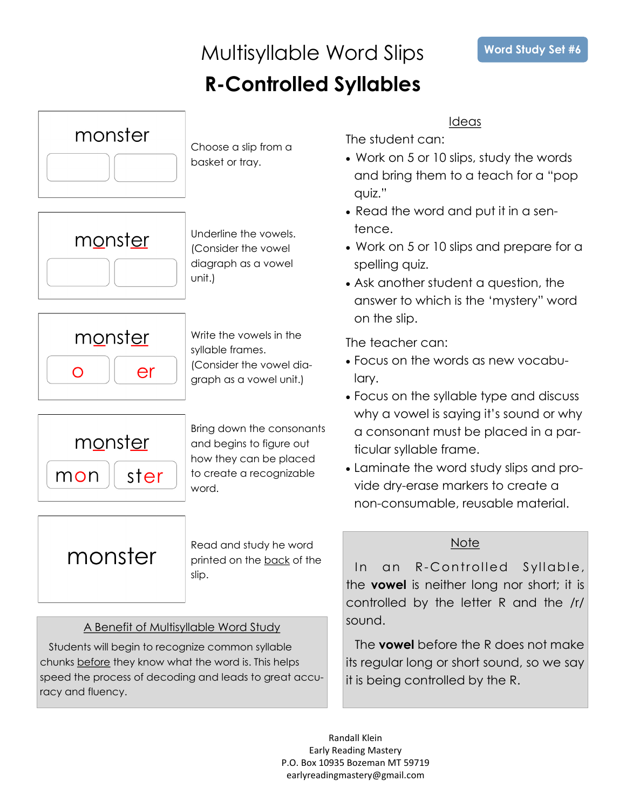### Multisyllable Word Slips **R-Controlled Syllables**



Choose a slip from a basket or tray.



Underline the vowels. (Consider the vowel diagraph as a vowel unit.)



Write the vowels in the syllable frames. (Consider the vowel diagraph as a vowel unit.)



Bring down the consonants and begins to figure out how they can be placed to create a recognizable word.

monster

Read and study he word printed on the back of the slip.

### A Benefit of Multisyllable Word Study

Students will begin to recognize common syllable chunks before they know what the word is. This helps speed the process of decoding and leads to great accuracy and fluency.

Ideas

The student can:

- Work on 5 or 10 slips, study the words and bring them to a teach for a "pop quiz."
- Read the word and put it in a sentence.
- Work on 5 or 10 slips and prepare for a spelling quiz.
- Ask another student a question, the answer to which is the 'mystery" word on the slip.

The teacher can:

- Focus on the words as new vocabulary.
- Focus on the syllable type and discuss why a vowel is saying it's sound or why a consonant must be placed in a particular syllable frame.
- Laminate the word study slips and provide dry-erase markers to create a non-consumable, reusable material.

### **Note**

In an R-Controlled Syllable, the **vowel** is neither long nor short; it is controlled by the letter R and the /r/ sound.

The **vowel** before the R does not make its regular long or short sound, so we say it is being controlled by the R.

Randall Klein Early Reading Mastery P.O. Box 10935 Bozeman MT 59719 earlyreadingmastery@gmail.com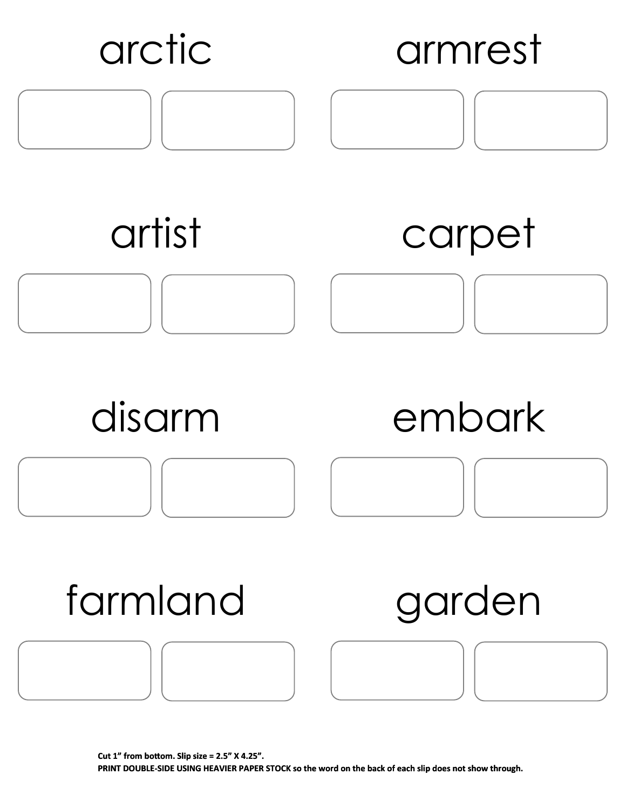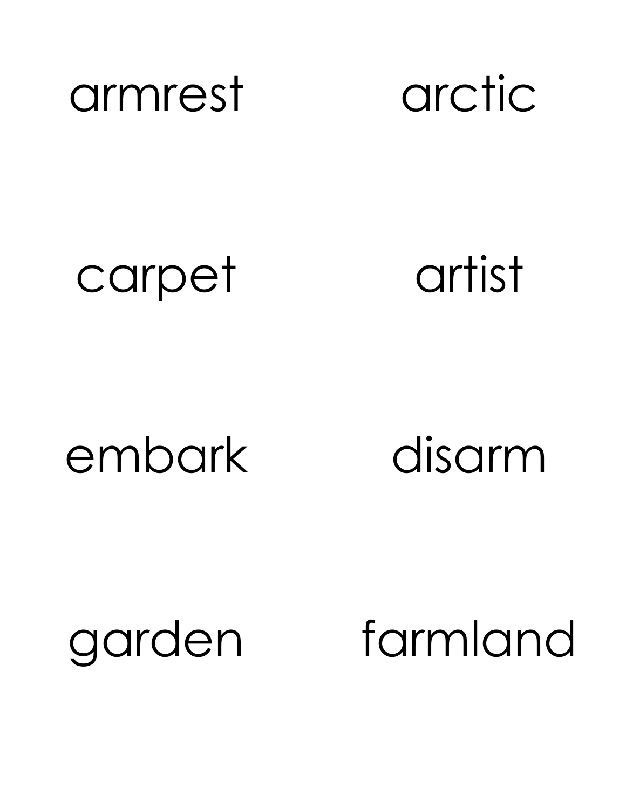

## carpet artist

## embark disarm

# garden farmland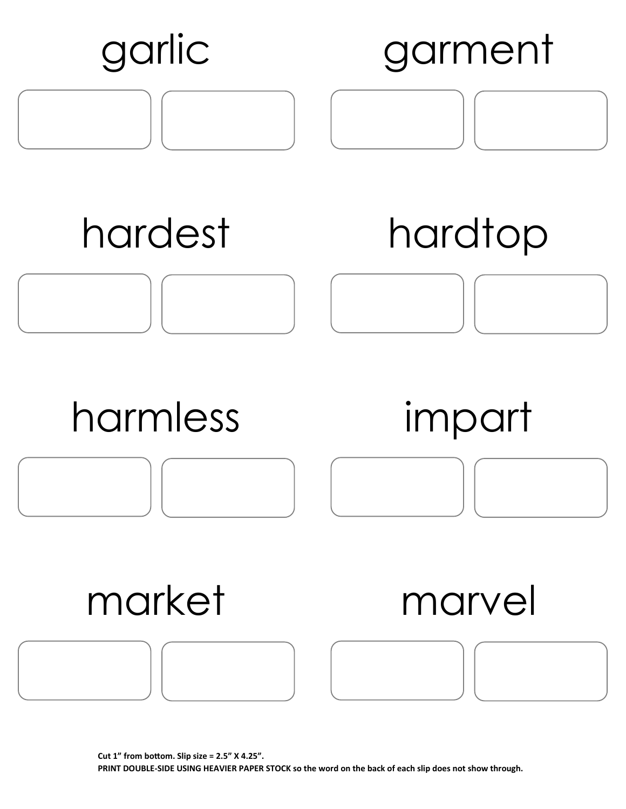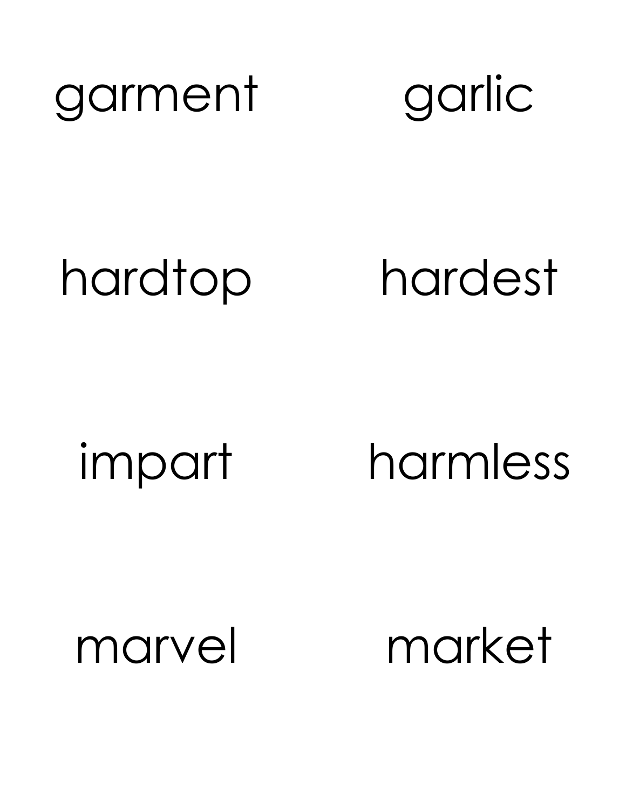



hardtop hardest

impart harmless

marvel market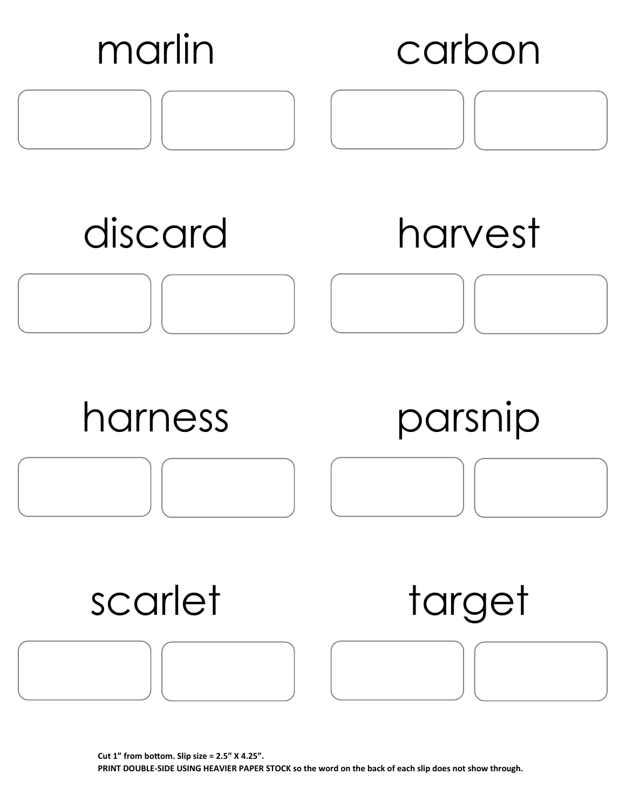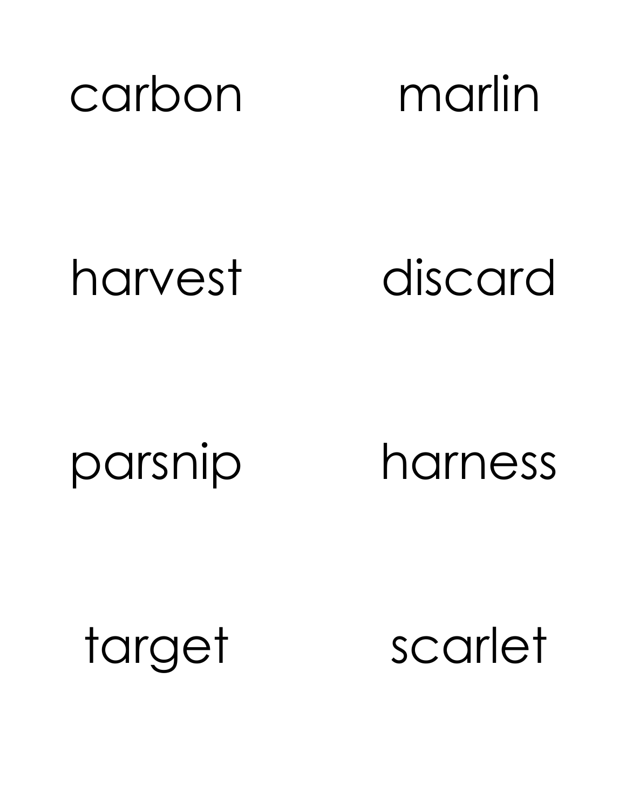

harvest discard

parsnip harness

target scarlet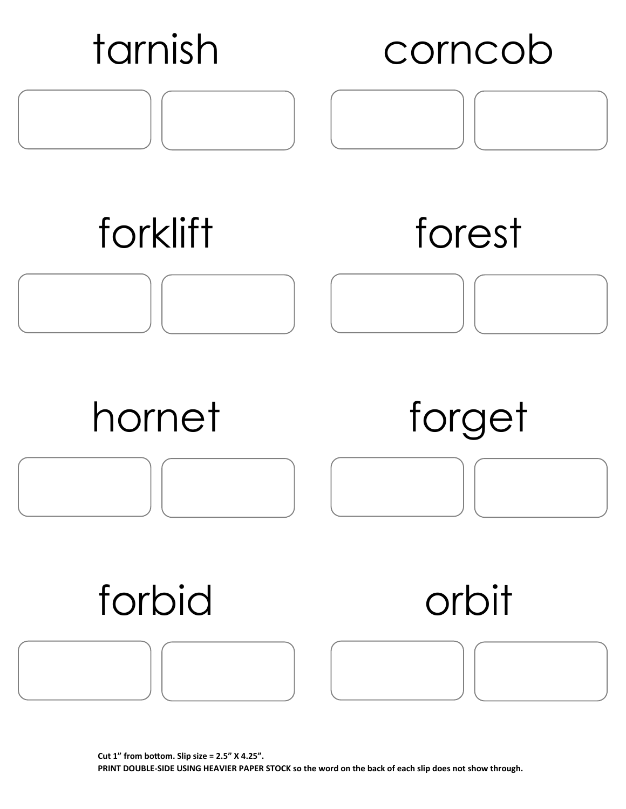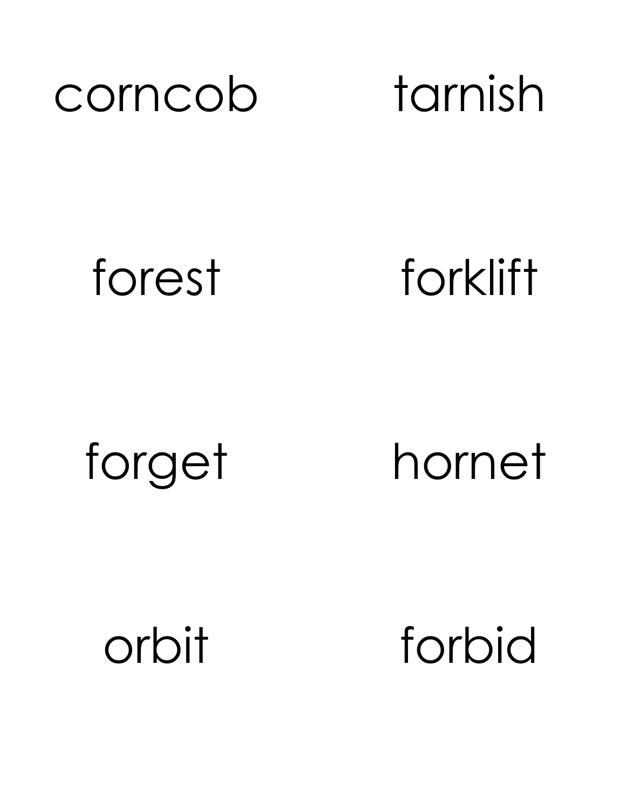

forest forklift

forget hornet

orbit forbid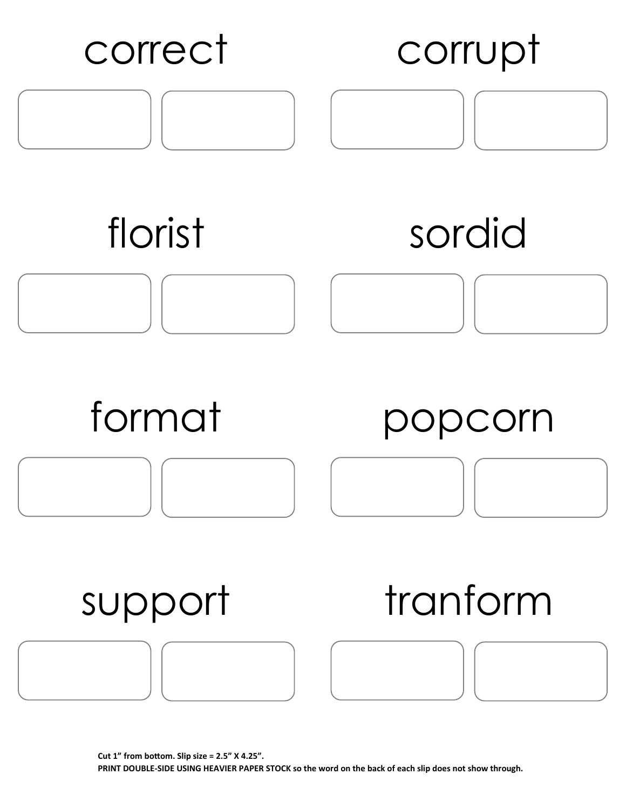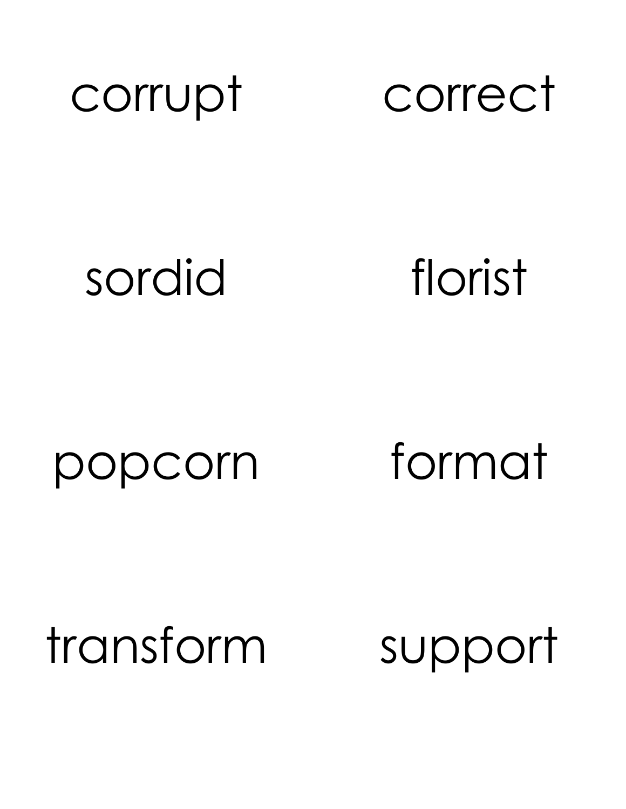

## sordid florist

### popcorn format

transform support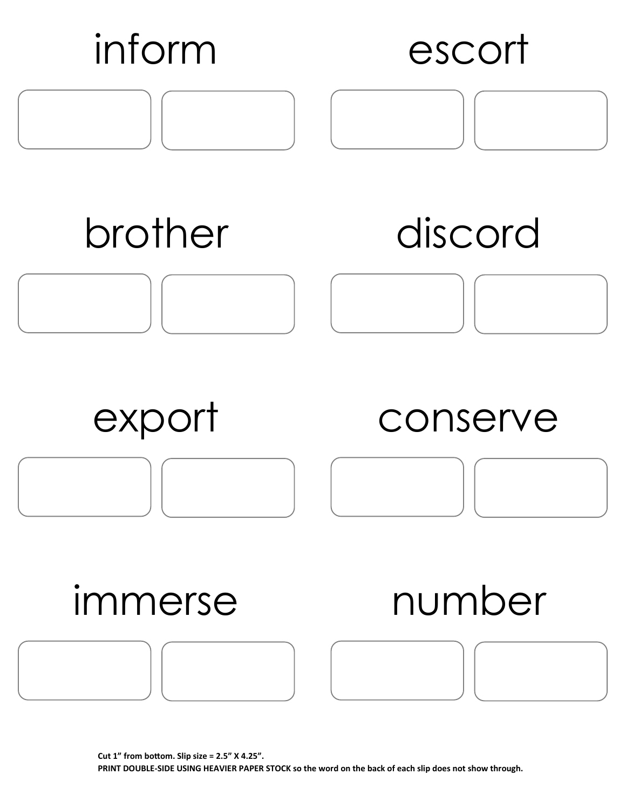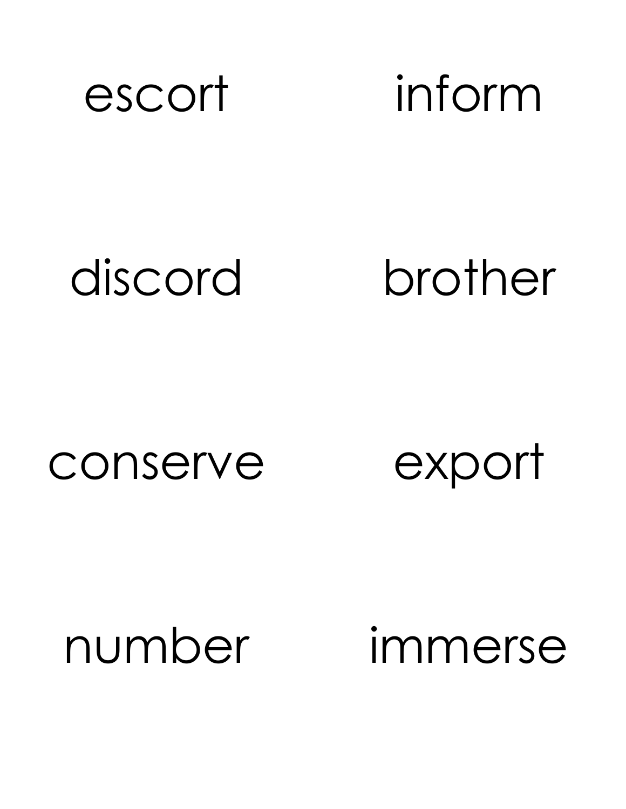![](_page_12_Picture_0.jpeg)

discord brother

### conserve export

# number immerse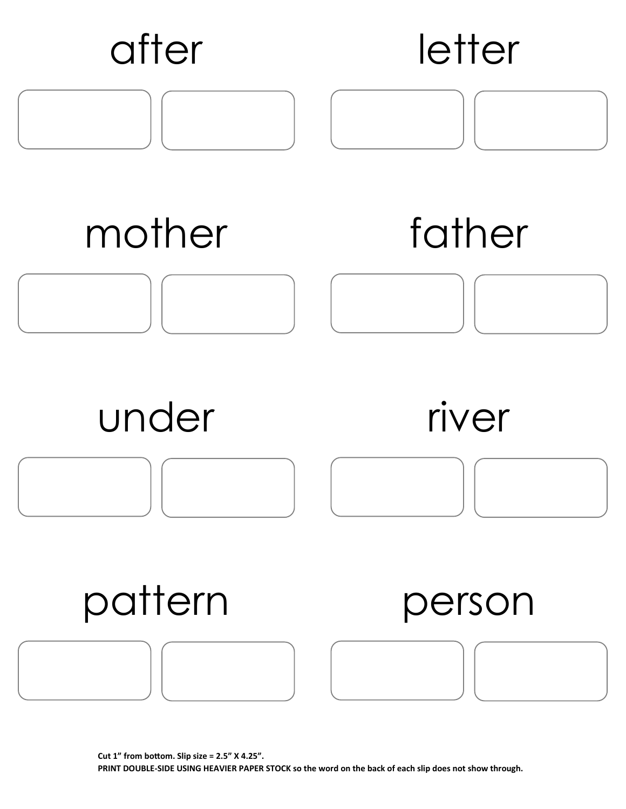![](_page_13_Figure_0.jpeg)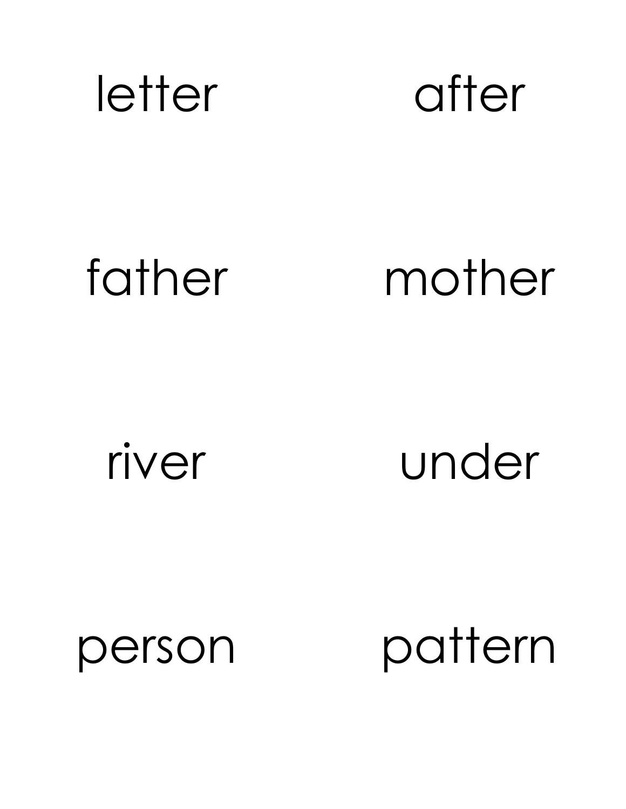![](_page_14_Picture_0.jpeg)

![](_page_14_Picture_1.jpeg)

# father mother

river under

person pattern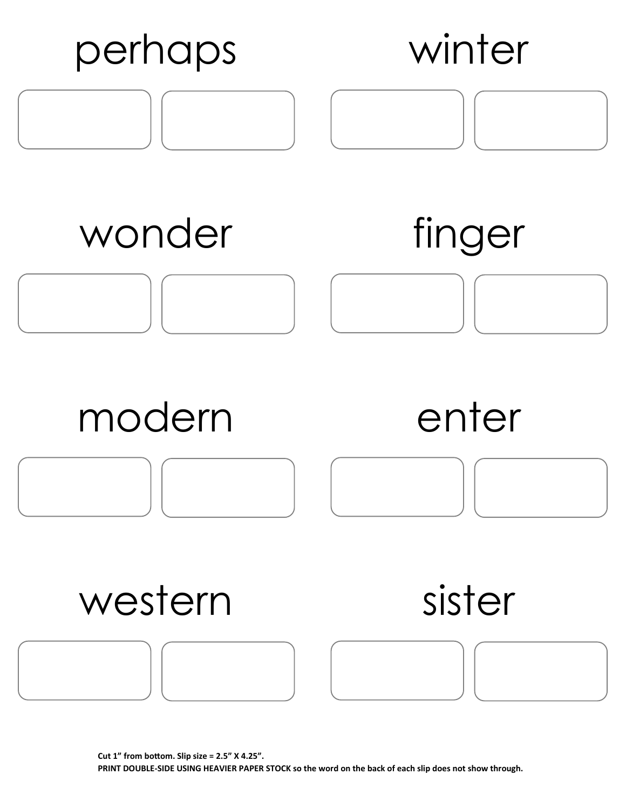![](_page_15_Figure_0.jpeg)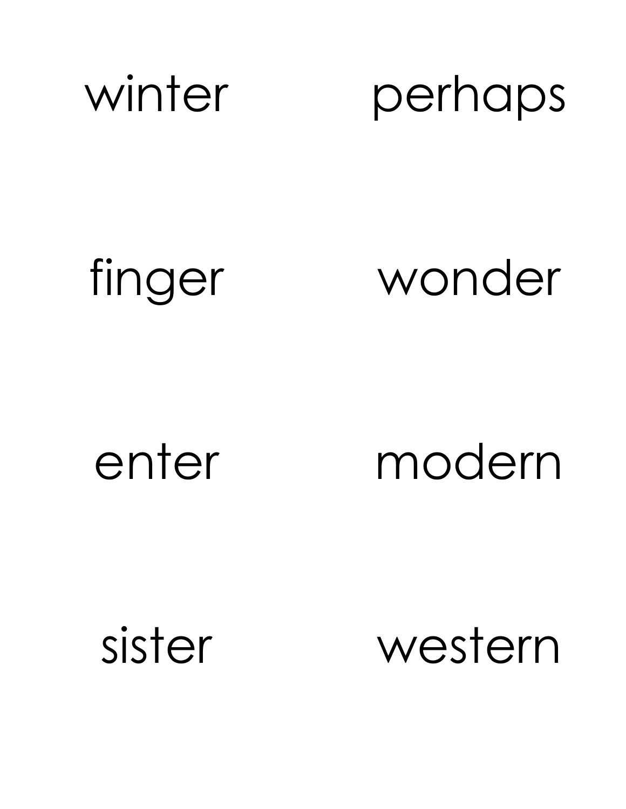![](_page_16_Picture_0.jpeg)

finger wonder

enter modern

sister western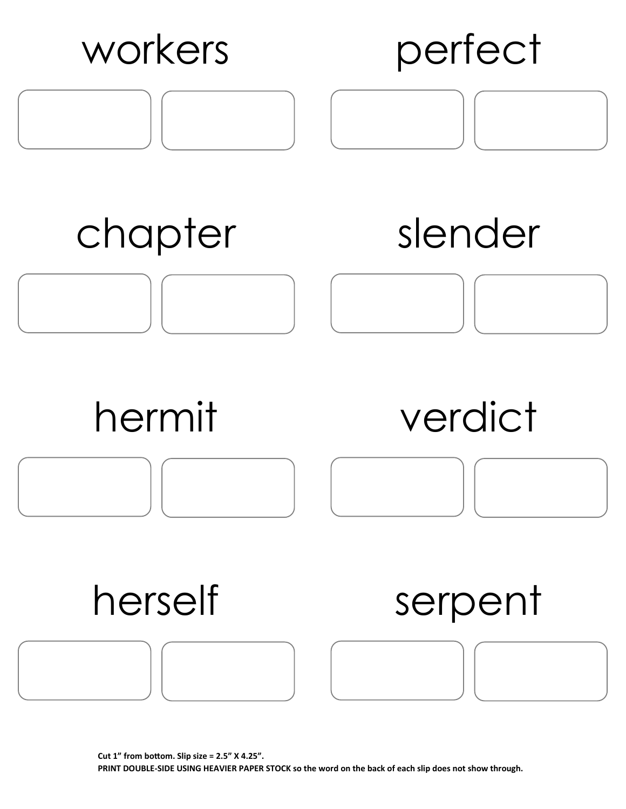![](_page_17_Figure_0.jpeg)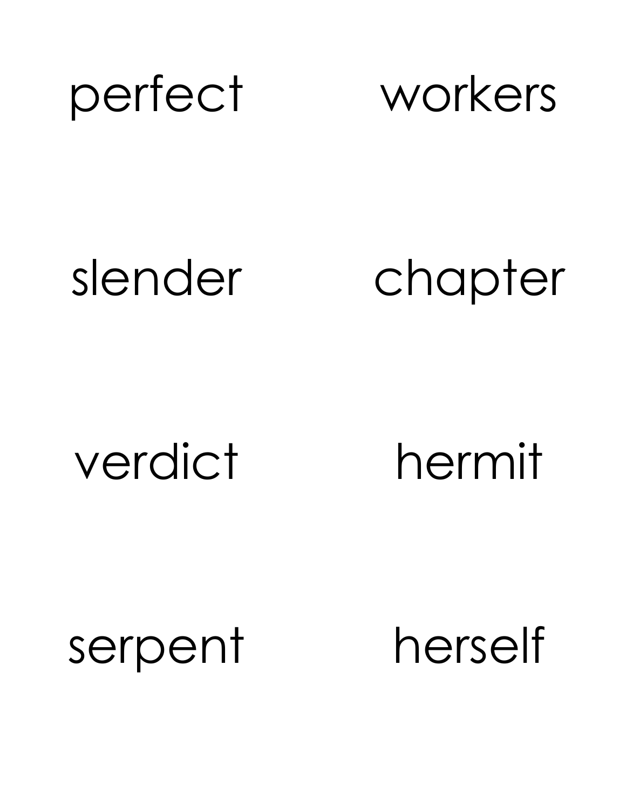![](_page_18_Picture_0.jpeg)

slender chapter

verdict hermit

serpent herself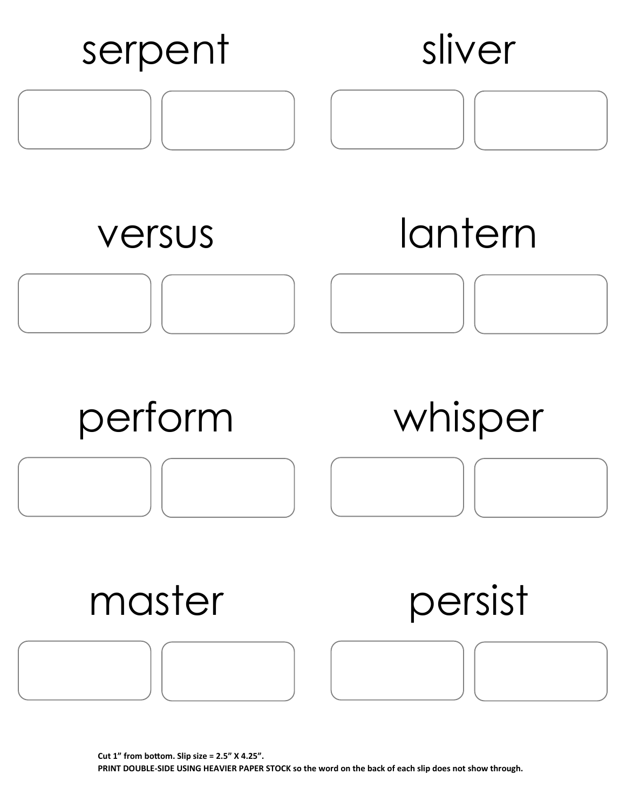![](_page_19_Figure_0.jpeg)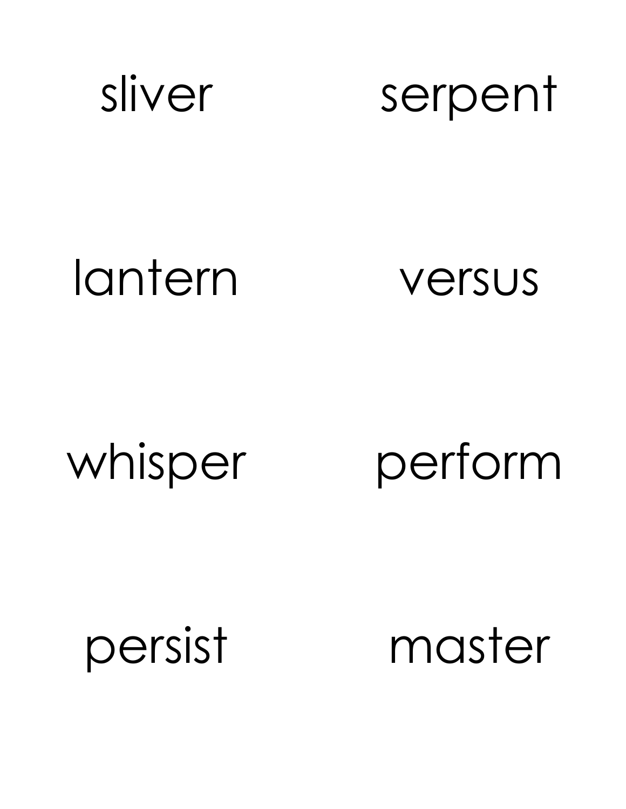![](_page_20_Picture_0.jpeg)

sliver serpent

### lantern versus

whisper perform

persist master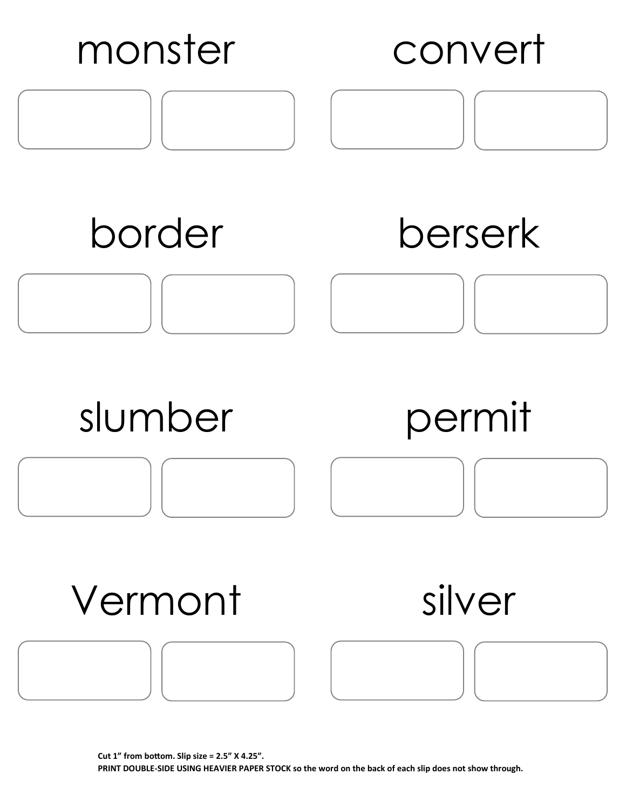![](_page_21_Figure_0.jpeg)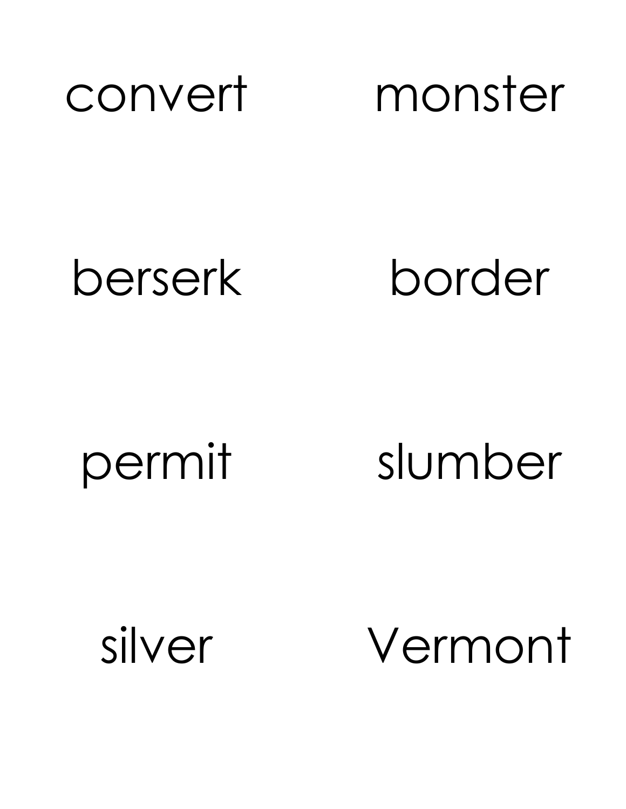![](_page_22_Picture_0.jpeg)

berserk border

permit slumber

silver Vermont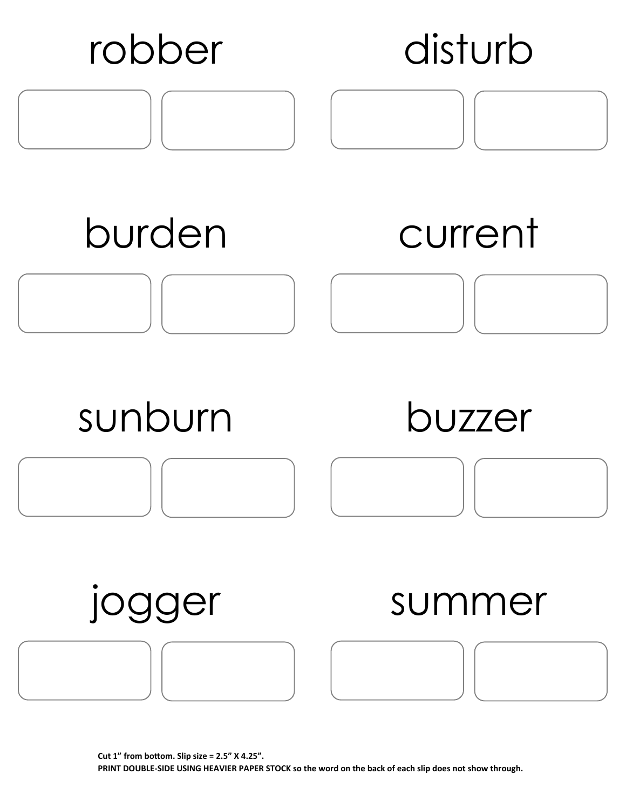![](_page_23_Figure_0.jpeg)